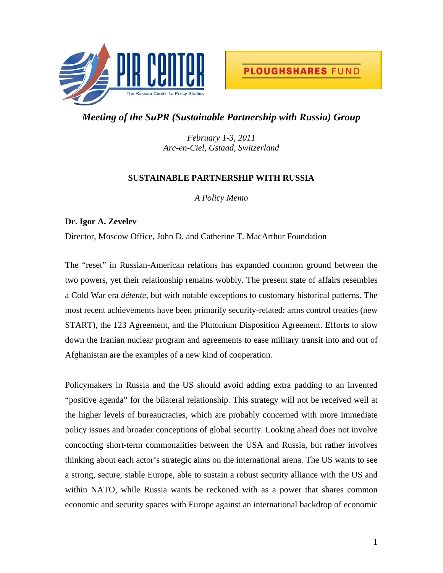



## *Meeting of the SuPR (Sustainable Partnership with Russia) Group*

*February 1-3, 2011 Arc-en-Ciel, Gstaad, Switzerland* 

## **SUSTAINABLE PARTNERSHIP WITH RUSSIA**

*A Policy Memo* 

## **Dr. Igor A. Zevelev**

Director, Moscow Office, John D. and Catherine T. MacArthur Foundation

The "reset" in Russian-American relations has expanded common ground between the two powers, yet their relationship remains wobbly. The present state of affairs resembles a Cold War era *détente*, but with notable exceptions to customary historical patterns. The most recent achievements have been primarily security-related: arms control treaties (new START), the 123 Agreement, and the Plutonium Disposition Agreement. Efforts to slow down the Iranian nuclear program and agreements to ease military transit into and out of Afghanistan are the examples of a new kind of cooperation.

Policymakers in Russia and the US should avoid adding extra padding to an invented "positive agenda" for the bilateral relationship. This strategy will not be received well at the higher levels of bureaucracies, which are probably concerned with more immediate policy issues and broader conceptions of global security. Looking ahead does not involve concocting short-term commonalities between the USA and Russia, but rather involves thinking about each actor's strategic aims on the international arena. The US wants to see a strong, secure, stable Europe, able to sustain a robust security alliance with the US and within NATO, while Russia wants be reckoned with as a power that shares common economic and security spaces with Europe against an international backdrop of economic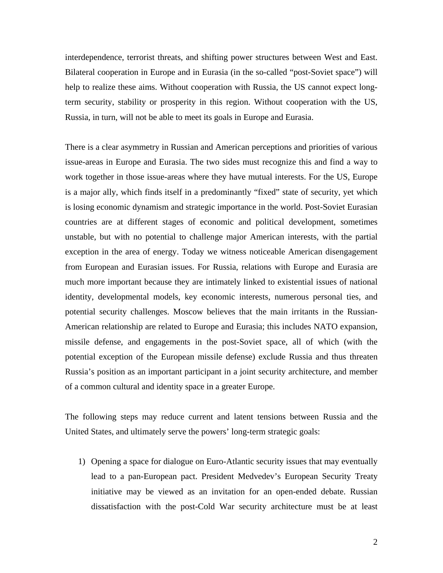interdependence, terrorist threats, and shifting power structures between West and East. Bilateral cooperation in Europe and in Eurasia (in the so-called "post-Soviet space") will help to realize these aims. Without cooperation with Russia, the US cannot expect longterm security, stability or prosperity in this region. Without cooperation with the US, Russia, in turn, will not be able to meet its goals in Europe and Eurasia.

There is a clear asymmetry in Russian and American perceptions and priorities of various issue-areas in Europe and Eurasia. The two sides must recognize this and find a way to work together in those issue-areas where they have mutual interests. For the US, Europe is a major ally, which finds itself in a predominantly "fixed" state of security, yet which is losing economic dynamism and strategic importance in the world. Post-Soviet Eurasian countries are at different stages of economic and political development, sometimes unstable, but with no potential to challenge major American interests, with the partial exception in the area of energy. Today we witness noticeable American disengagement from European and Eurasian issues. For Russia, relations with Europe and Eurasia are much more important because they are intimately linked to existential issues of national identity, developmental models, key economic interests, numerous personal ties, and potential security challenges. Moscow believes that the main irritants in the Russian-American relationship are related to Europe and Eurasia; this includes NATO expansion, missile defense, and engagements in the post-Soviet space, all of which (with the potential exception of the European missile defense) exclude Russia and thus threaten Russia's position as an important participant in a joint security architecture, and member of a common cultural and identity space in a greater Europe.

The following steps may reduce current and latent tensions between Russia and the United States, and ultimately serve the powers' long-term strategic goals:

1) Opening a space for dialogue on Euro-Atlantic security issues that may eventually lead to a pan-European pact. President Medvedev's European Security Treaty initiative may be viewed as an invitation for an open-ended debate. Russian dissatisfaction with the post-Cold War security architecture must be at least